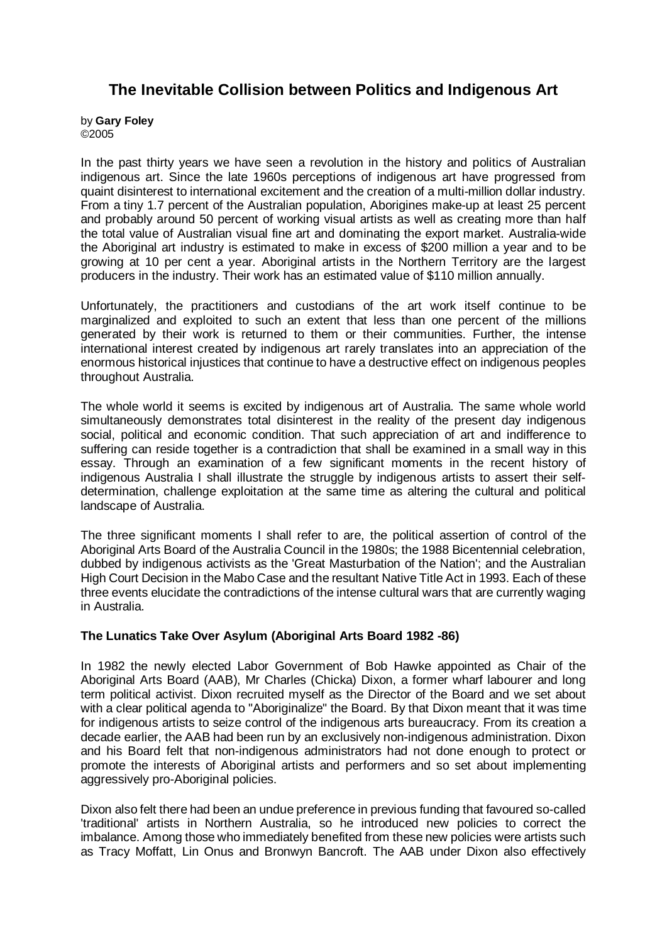# **The Inevitable Collision between Politics and Indigenous Art**

by **Gary Foley**  ©2005

In the past thirty years we have seen a revolution in the history and politics of Australian indigenous art. Since the late 1960s perceptions of indigenous art have progressed from quaint disinterest to international excitement and the creation of a multi-million dollar industry. From a tiny 1.7 percent of the Australian population, Aborigines make-up at least 25 percent and probably around 50 percent of working visual artists as well as creating more than half the total value of Australian visual fine art and dominating the export market. Australia-wide the Aboriginal art industry is estimated to make in excess of \$200 million a year and to be growing at 10 per cent a year. Aboriginal artists in the Northern Territory are the largest producers in the industry. Their work has an estimated value of \$110 million annually.

Unfortunately, the practitioners and custodians of the art work itself continue to be marginalized and exploited to such an extent that less than one percent of the millions generated by their work is returned to them or their communities. Further, the intense international interest created by indigenous art rarely translates into an appreciation of the enormous historical injustices that continue to have a destructive effect on indigenous peoples throughout Australia.

The whole world it seems is excited by indigenous art of Australia. The same whole world simultaneously demonstrates total disinterest in the reality of the present day indigenous social, political and economic condition. That such appreciation of art and indifference to suffering can reside together is a contradiction that shall be examined in a small way in this essay. Through an examination of a few significant moments in the recent history of indigenous Australia I shall illustrate the struggle by indigenous artists to assert their selfdetermination, challenge exploitation at the same time as altering the cultural and political landscape of Australia.

The three significant moments I shall refer to are, the political assertion of control of the Aboriginal Arts Board of the Australia Council in the 1980s; the 1988 Bicentennial celebration, dubbed by indigenous activists as the 'Great Masturbation of the Nation'; and the Australian High Court Decision in the Mabo Case and the resultant Native Title Act in 1993. Each of these three events elucidate the contradictions of the intense cultural wars that are currently waging in Australia.

## **The Lunatics Take Over Asylum (Aboriginal Arts Board 1982 -86)**

In 1982 the newly elected Labor Government of Bob Hawke appointed as Chair of the Aboriginal Arts Board (AAB), Mr Charles (Chicka) Dixon, a former wharf labourer and long term political activist. Dixon recruited myself as the Director of the Board and we set about with a clear political agenda to "Aboriginalize" the Board. By that Dixon meant that it was time for indigenous artists to seize control of the indigenous arts bureaucracy. From its creation a decade earlier, the AAB had been run by an exclusively non-indigenous administration. Dixon and his Board felt that non-indigenous administrators had not done enough to protect or promote the interests of Aboriginal artists and performers and so set about implementing aggressively pro-Aboriginal policies.

Dixon also felt there had been an undue preference in previous funding that favoured so-called 'traditional' artists in Northern Australia, so he introduced new policies to correct the imbalance. Among those who immediately benefited from these new policies were artists such as Tracy Moffatt, Lin Onus and Bronwyn Bancroft. The AAB under Dixon also effectively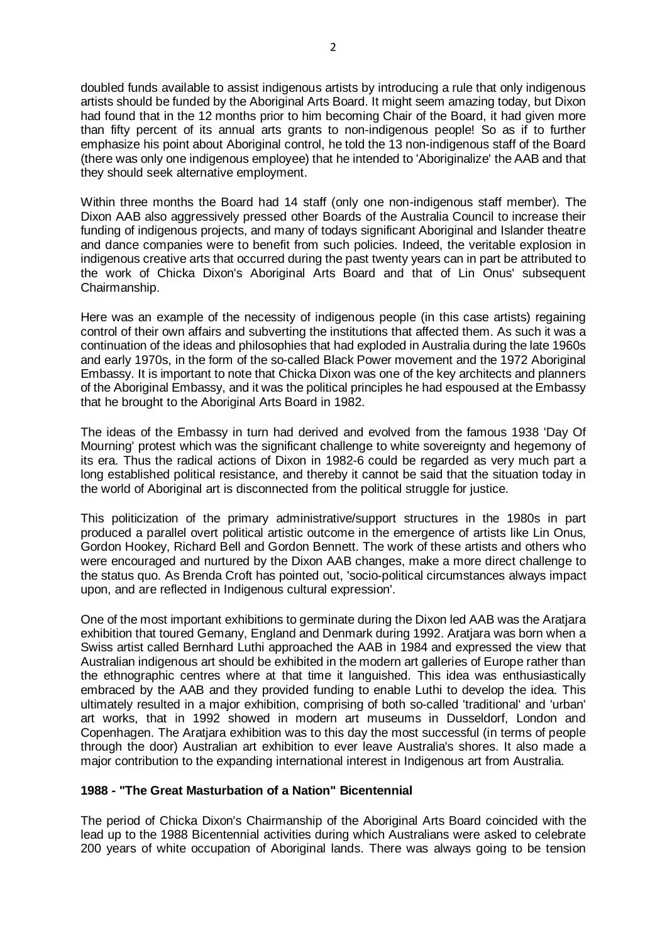doubled funds available to assist indigenous artists by introducing a rule that only indigenous artists should be funded by the Aboriginal Arts Board. It might seem amazing today, but Dixon had found that in the 12 months prior to him becoming Chair of the Board, it had given more than fifty percent of its annual arts grants to non-indigenous people! So as if to further emphasize his point about Aboriginal control, he told the 13 non-indigenous staff of the Board (there was only one indigenous employee) that he intended to 'Aboriginalize' the AAB and that they should seek alternative employment.

Within three months the Board had 14 staff (only one non-indigenous staff member). The Dixon AAB also aggressively pressed other Boards of the Australia Council to increase their funding of indigenous projects, and many of todays significant Aboriginal and Islander theatre and dance companies were to benefit from such policies. Indeed, the veritable explosion in indigenous creative arts that occurred during the past twenty years can in part be attributed to the work of Chicka Dixon's Aboriginal Arts Board and that of Lin Onus' subsequent Chairmanship.

Here was an example of the necessity of indigenous people (in this case artists) regaining control of their own affairs and subverting the institutions that affected them. As such it was a continuation of the ideas and philosophies that had exploded in Australia during the late 1960s and early 1970s, in the form of the so-called Black Power movement and the 1972 Aboriginal Embassy. It is important to note that Chicka Dixon was one of the key architects and planners of the Aboriginal Embassy, and it was the political principles he had espoused at the Embassy that he brought to the Aboriginal Arts Board in 1982.

The ideas of the Embassy in turn had derived and evolved from the famous 1938 'Day Of Mourning' protest which was the significant challenge to white sovereignty and hegemony of its era. Thus the radical actions of Dixon in 1982-6 could be regarded as very much part a long established political resistance, and thereby it cannot be said that the situation today in the world of Aboriginal art is disconnected from the political struggle for justice.

This politicization of the primary administrative/support structures in the 1980s in part produced a parallel overt political artistic outcome in the emergence of artists like Lin Onus, Gordon Hookey, Richard Bell and Gordon Bennett. The work of these artists and others who were encouraged and nurtured by the Dixon AAB changes, make a more direct challenge to the status quo. As Brenda Croft has pointed out, 'socio-political circumstances always impact upon, and are reflected in Indigenous cultural expression'.

One of the most important exhibitions to germinate during the Dixon led AAB was the Aratjara exhibition that toured Gemany, England and Denmark during 1992. Aratjara was born when a Swiss artist called Bernhard Luthi approached the AAB in 1984 and expressed the view that Australian indigenous art should be exhibited in the modern art galleries of Europe rather than the ethnographic centres where at that time it languished. This idea was enthusiastically embraced by the AAB and they provided funding to enable Luthi to develop the idea. This ultimately resulted in a major exhibition, comprising of both so-called 'traditional' and 'urban' art works, that in 1992 showed in modern art museums in Dusseldorf, London and Copenhagen. The Aratjara exhibition was to this day the most successful (in terms of people through the door) Australian art exhibition to ever leave Australia's shores. It also made a major contribution to the expanding international interest in Indigenous art from Australia.

# **1988 - "The Great Masturbation of a Nation" Bicentennial**

The period of Chicka Dixon's Chairmanship of the Aboriginal Arts Board coincided with the lead up to the 1988 Bicentennial activities during which Australians were asked to celebrate 200 years of white occupation of Aboriginal lands. There was always going to be tension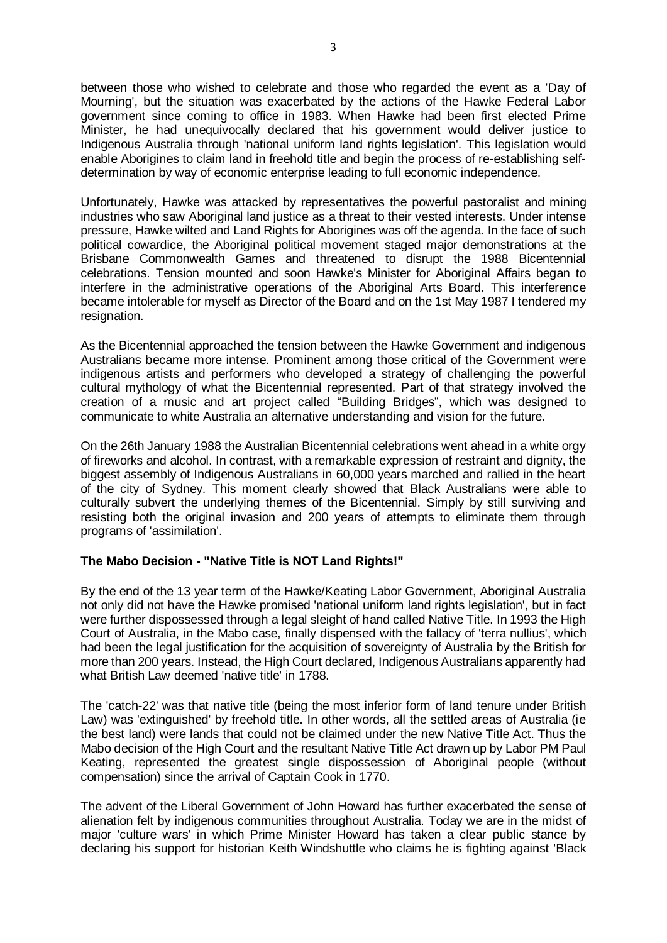between those who wished to celebrate and those who regarded the event as a 'Day of Mourning', but the situation was exacerbated by the actions of the Hawke Federal Labor government since coming to office in 1983. When Hawke had been first elected Prime Minister, he had unequivocally declared that his government would deliver justice to Indigenous Australia through 'national uniform land rights legislation'. This legislation would enable Aborigines to claim land in freehold title and begin the process of re-establishing selfdetermination by way of economic enterprise leading to full economic independence.

Unfortunately, Hawke was attacked by representatives the powerful pastoralist and mining industries who saw Aboriginal land justice as a threat to their vested interests. Under intense pressure, Hawke wilted and Land Rights for Aborigines was off the agenda. In the face of such political cowardice, the Aboriginal political movement staged major demonstrations at the Brisbane Commonwealth Games and threatened to disrupt the 1988 Bicentennial celebrations. Tension mounted and soon Hawke's Minister for Aboriginal Affairs began to interfere in the administrative operations of the Aboriginal Arts Board. This interference became intolerable for myself as Director of the Board and on the 1st May 1987 I tendered my resignation.

As the Bicentennial approached the tension between the Hawke Government and indigenous Australians became more intense. Prominent among those critical of the Government were indigenous artists and performers who developed a strategy of challenging the powerful cultural mythology of what the Bicentennial represented. Part of that strategy involved the creation of a music and art project called "Building Bridges", which was designed to communicate to white Australia an alternative understanding and vision for the future.

On the 26th January 1988 the Australian Bicentennial celebrations went ahead in a white orgy of fireworks and alcohol. In contrast, with a remarkable expression of restraint and dignity, the biggest assembly of Indigenous Australians in 60,000 years marched and rallied in the heart of the city of Sydney. This moment clearly showed that Black Australians were able to culturally subvert the underlying themes of the Bicentennial. Simply by still surviving and resisting both the original invasion and 200 years of attempts to eliminate them through programs of 'assimilation'.

## **The Mabo Decision - "Native Title is NOT Land Rights!"**

By the end of the 13 year term of the Hawke/Keating Labor Government, Aboriginal Australia not only did not have the Hawke promised 'national uniform land rights legislation', but in fact were further dispossessed through a legal sleight of hand called Native Title. In 1993 the High Court of Australia, in the Mabo case, finally dispensed with the fallacy of 'terra nullius', which had been the legal justification for the acquisition of sovereignty of Australia by the British for more than 200 years. Instead, the High Court declared, Indigenous Australians apparently had what British Law deemed 'native title' in 1788.

The 'catch-22' was that native title (being the most inferior form of land tenure under British Law) was 'extinguished' by freehold title. In other words, all the settled areas of Australia (ie the best land) were lands that could not be claimed under the new Native Title Act. Thus the Mabo decision of the High Court and the resultant Native Title Act drawn up by Labor PM Paul Keating, represented the greatest single dispossession of Aboriginal people (without compensation) since the arrival of Captain Cook in 1770.

The advent of the Liberal Government of John Howard has further exacerbated the sense of alienation felt by indigenous communities throughout Australia. Today we are in the midst of major 'culture wars' in which Prime Minister Howard has taken a clear public stance by declaring his support for historian Keith Windshuttle who claims he is fighting against 'Black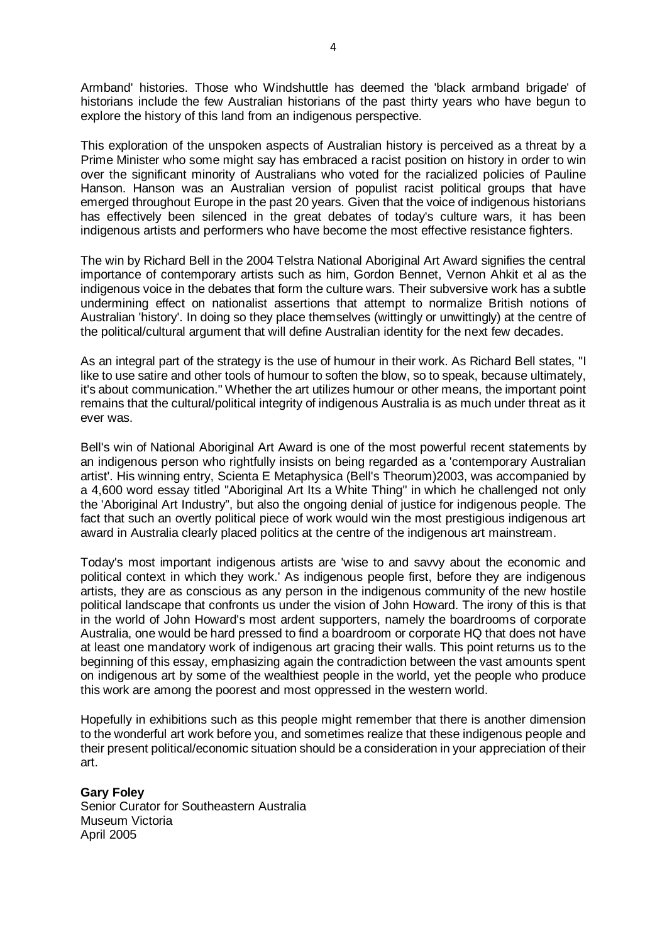Armband' histories. Those who Windshuttle has deemed the 'black armband brigade' of historians include the few Australian historians of the past thirty years who have begun to explore the history of this land from an indigenous perspective.

This exploration of the unspoken aspects of Australian history is perceived as a threat by a Prime Minister who some might say has embraced a racist position on history in order to win over the significant minority of Australians who voted for the racialized policies of Pauline Hanson. Hanson was an Australian version of populist racist political groups that have emerged throughout Europe in the past 20 years. Given that the voice of indigenous historians has effectively been silenced in the great debates of today's culture wars, it has been indigenous artists and performers who have become the most effective resistance fighters.

The win by Richard Bell in the 2004 Telstra National Aboriginal Art Award signifies the central importance of contemporary artists such as him, Gordon Bennet, Vernon Ahkit et al as the indigenous voice in the debates that form the culture wars. Their subversive work has a subtle undermining effect on nationalist assertions that attempt to normalize British notions of Australian 'history'. In doing so they place themselves (wittingly or unwittingly) at the centre of the political/cultural argument that will define Australian identity for the next few decades.

As an integral part of the strategy is the use of humour in their work. As Richard Bell states, "I like to use satire and other tools of humour to soften the blow, so to speak, because ultimately, it's about communication." Whether the art utilizes humour or other means, the important point remains that the cultural/political integrity of indigenous Australia is as much under threat as it ever was.

Bell's win of National Aboriginal Art Award is one of the most powerful recent statements by an indigenous person who rightfully insists on being regarded as a 'contemporary Australian artist'. His winning entry, Scienta E Metaphysica (Bell's Theorum)2003, was accompanied by a 4,600 word essay titled "Aboriginal Art Its a White Thing" in which he challenged not only the 'Aboriginal Art Industry", but also the ongoing denial of justice for indigenous people. The fact that such an overtly political piece of work would win the most prestigious indigenous art award in Australia clearly placed politics at the centre of the indigenous art mainstream.

Today's most important indigenous artists are 'wise to and savvy about the economic and political context in which they work.' As indigenous people first, before they are indigenous artists, they are as conscious as any person in the indigenous community of the new hostile political landscape that confronts us under the vision of John Howard. The irony of this is that in the world of John Howard's most ardent supporters, namely the boardrooms of corporate Australia, one would be hard pressed to find a boardroom or corporate HQ that does not have at least one mandatory work of indigenous art gracing their walls. This point returns us to the beginning of this essay, emphasizing again the contradiction between the vast amounts spent on indigenous art by some of the wealthiest people in the world, yet the people who produce this work are among the poorest and most oppressed in the western world.

Hopefully in exhibitions such as this people might remember that there is another dimension to the wonderful art work before you, and sometimes realize that these indigenous people and their present political/economic situation should be a consideration in your appreciation of their art.

**Gary Foley** Senior Curator for Southeastern Australia Museum Victoria April 2005